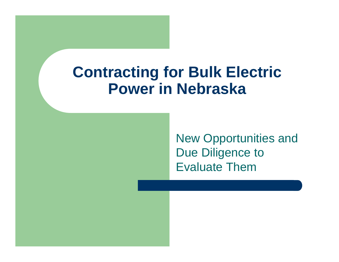### **Contracting for Bulk Electric Power in Nebraska**

New Opportunities and Due Diligence to Evaluate Them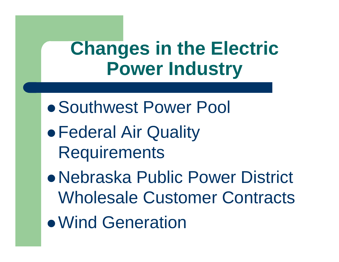### **Changes in the Electric Power Industry**

- Southwest Power Pool
- $\bullet$  Federal Air Quality **Requirements**
- Nebraska Public Power District Wholesale Customer Contracts
- Wind Generation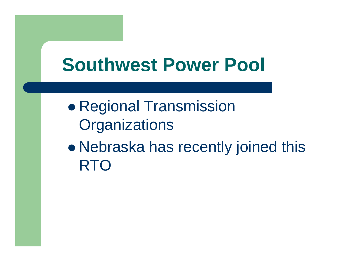## **Southwest Power Pool**

 $\bullet$  Regional Transmission **Organizations** 

 $\bullet$  Nebraska has recently joined this RTO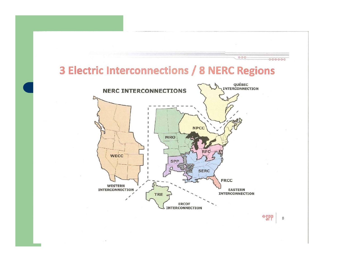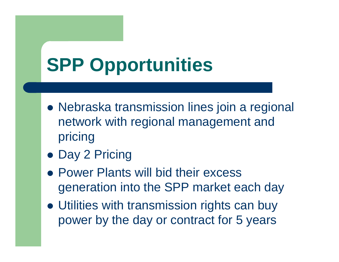## **SPP Opportunities**

- Nebraska transmission lines join a regional network with regional management and pricing
- Day 2 Pricing
- Power Plants will bid their excess generation into the SPP market each day
- Utilities with transmission rights can buy power by the day or contract for 5 years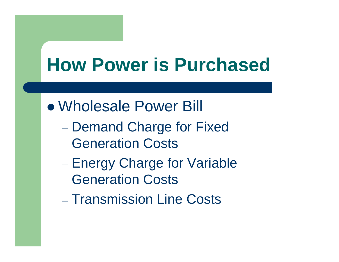### **How Power is Purchased**

• Wholesale Power Bill

- Demand Charge for Fixed Generation Costs
- Energy Charge for Variable Generation Costs
- Transmission Line Costs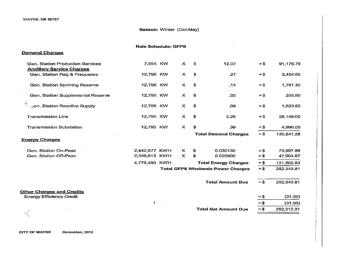$\ddot{\phantom{a}}$ 

#### Season: Winter (Oct-May)

|                                                                      | <b>Rate Schedule: GFPS</b> |                                           |                             |                             |        |            |
|----------------------------------------------------------------------|----------------------------|-------------------------------------------|-----------------------------|-----------------------------|--------|------------|
| <b>Demand Charges</b>                                                |                            |                                           |                             |                             |        |            |
| Gen. Station Production Services<br><b>Ancillary Service Charges</b> | 7,554 KW                   | $\mathsf{x}$                              | \$                          | 12.07                       | $=$ \$ | 91,176.78  |
| Gen. Station Reg & Frequency                                         | 12,795 KW                  | $\boldsymbol{\mathsf{x}}$                 | \$                          | .27                         | $=$ \$ | 3,454.65   |
| Gen. Station Spinning Reserve                                        | 12,795 KW                  | X                                         | \$                          | .14                         | $=$ \$ | 1,791.30   |
| Gen. Station Supplemental Reserve                                    | 12,795 KW                  | x                                         | \$                          | .02                         | $=$ \$ | 255.90     |
| Jen. Station Reactive Supply                                         | 12,795 KW                  | $\boldsymbol{\mathsf{x}}$                 | \$                          | .08 <sub>1</sub>            | $=$ \$ | 1,023.60   |
| <b>Transmission Line</b>                                             | 12,795 KW                  | $\boldsymbol{\mathsf{x}}$                 | \$                          | 2.20                        | $=$ \$ | 28,149.00  |
| <b>Transmission Substation</b>                                       | 12,795 KW                  | $\mathsf{x}$                              | \$                          | .39                         | $=$ \$ | 4,990.05   |
|                                                                      |                            |                                           | <b>Total Demand Charges</b> |                             | $=$ \$ | 130,841.28 |
| <b>Energy Charges</b>                                                |                            |                                           |                             |                             |        |            |
| Gen. Station On-Peak                                                 | 2,442,677 KWH              | $\boldsymbol{\mathsf{x}}$                 | \$                          | 0.030130                    | $=$ \$ | 73,597.86  |
| Gen. Station Off-Peak                                                | 2,336,813 KWH              | $\mathbf{x}$                              | $\mathfrak{P}$              | 0.020500                    | $=$ \$ | 47,904.67  |
|                                                                      | 4,779,490 KWH              |                                           |                             | <b>Total Energy Charges</b> | $= $$  | 121,502.53 |
|                                                                      |                            | <b>Total GFPS Wholesale Power Charges</b> |                             |                             |        | 252,343.81 |
|                                                                      |                            |                                           |                             | <b>Total Amount Due</b>     | $=$ \$ | 252,343.81 |
| <b>Other Charges and Credits</b><br><b>Energy Efficiency Credit</b>  |                            |                                           |                             |                             | $=$ \$ | (31.50)    |
|                                                                      | ŧ                          |                                           |                             |                             | $= $$  | (31.50)    |
|                                                                      |                            |                                           |                             | <b>Total Net Amount Due</b> | $= $$  | 252,312.31 |
|                                                                      |                            |                                           |                             |                             |        |            |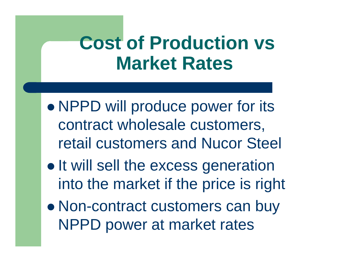### **Cost of Production vs Market Rates**

- $\bullet$ • NPPD will produce power for its contract wholesale customers, retail customers and Nucor Steel
- $\bullet$  $\bullet$  It will sell the excess generation into the market if the price is right
- $\bullet$  Non-contract customers can buy NPPD power at market rates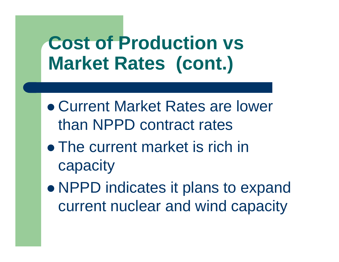## **Cost of Production vs Market Rates (cont.)**

- Current Market Rates are lower than NPPD contract rates
- The current market is rich in capacity
- $\bullet$ • NPPD indicates it plans to expand current nuclear and wind capacity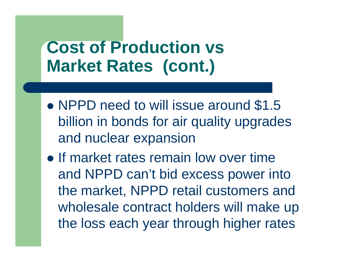### **Cost of Production vs Market Rates (cont.)**

- NPPD need to will issue around \$1.5 billion in bonds for air quality upgrades and nuclear expansion
- If market rates remain low over time and NPPD can't bid excess power into the market, NPPD retail customers and wholesale contract holders will make up the loss each year through higher rates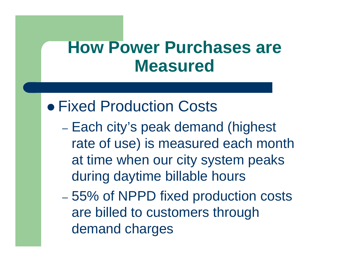### **• Fixed Production Costs**

– Each city's peak demand (highest rate of use) is measured each month at time when our city system peaks during daytime billable hours

 $\mathcal{L}_{\mathcal{A}}$  55% of NPPD fixed production costs are billed to customers through demand charges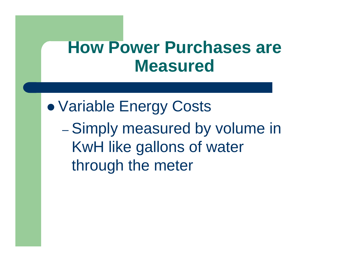$\bullet$  Variable Energy Costs  $\mathcal{L}_{\mathcal{A}}$  , and the set of  $\mathcal{L}_{\mathcal{A}}$ - Simply measured by volume in KwH like gallons of water through the meter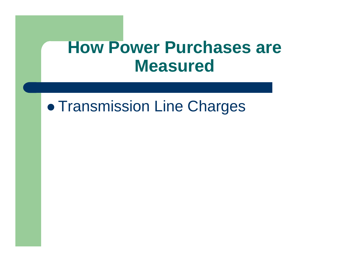#### $\bullet$ **• Transmission Line Charges**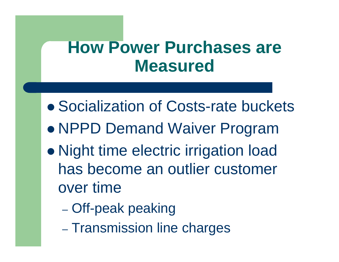- Socialization of Costs-rate buckets
- $\bullet$ NPPD Demand Waiver Program
- $\bullet$ • Night time electric irrigation load has become an outlier customer over time
	- Off-peak peaking
	- Transmission line charges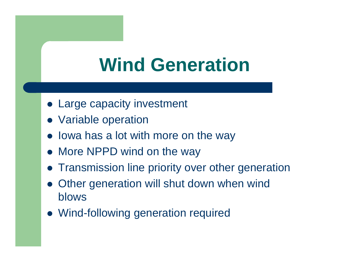### **Wind Generation**

- Large capacity investment
- Variable operation
- Iowa has a lot with more on the way
- More NPPD wind on the way
- **Transmission line priority over other generation**
- $\bullet$  Other generation will shut down when wind blows
- Wind-following generation required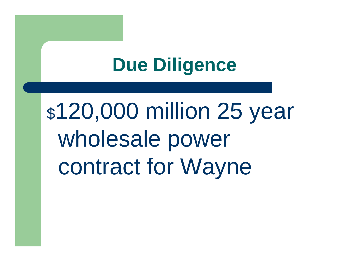\$120,000 million 25 year wholesale power contract for Wayne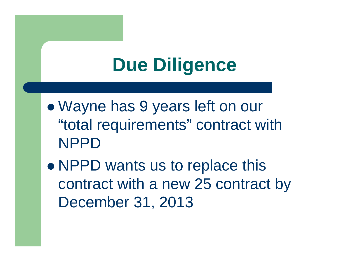- $\bullet$  Wayne has 9 years left on our "total requirements" contract with NPPD
- $\bullet$ • NPPD wants us to replace this contract with a new 25 contract by December 31, 2013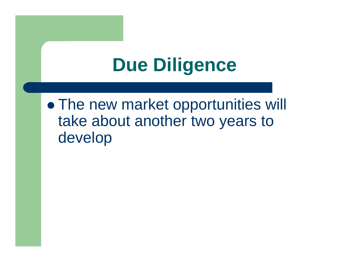$\bullet$ • The new market opportunities will take about another two years to develop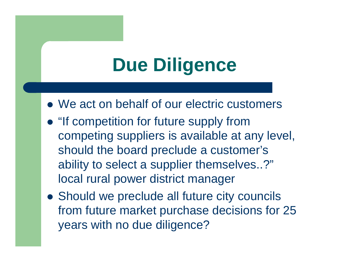- We act on behalf of our electric customers
- "If competition for future supply from competing suppliers is available at any level, should the board preclude a customer's ability to select a supplier themselves..?" local rural power district manager
- Should we preclude all future city councils from future market purchase decisions for 25 years with no due diligence?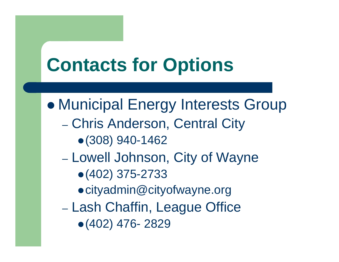# **Contacts for Options**

- $\bullet$  Municipal Energy Interests Group
	- $\mathcal{L}_{\mathcal{A}}$  Chris Anderson, Central City
		- $\bullet$  (308) 940-1462
	- Lowell Johnson, City of Wayne
		- $\bullet$ (402) 375-2733
		- cityadmin@cityofwayne.org
	- Lash Chaffin, League Office
		- $\bullet$  (402) 476-2829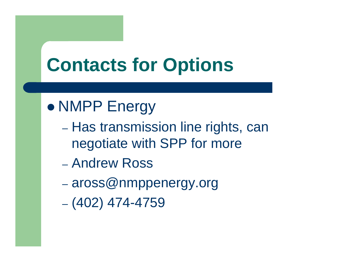## **Contacts for Options**

### $\bullet$ NMPP Energy

- Has transmission line rights, can negotiate with SPP for more
- Andrew Ross
- $\mathcal{L}_{\mathcal{A}}$ aross@nmppenergy.org
- (402) 474-4759